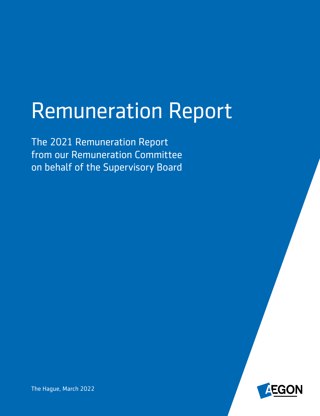# Remuneration Report

The 2021 Remuneration Report from our Remuneration Committee on behalf of the Supervisory Board



The Hague, March 2022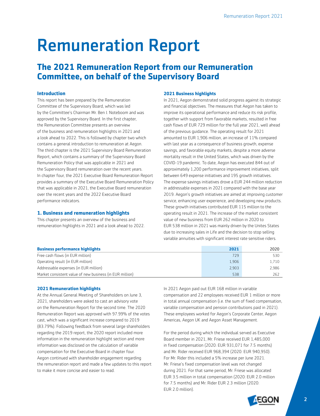## Remuneration Report

### **The 2021 Remuneration Report from our Remuneration Committee, on behalf of the Supervisory Board**

#### **Introduction**

This report has been prepared by the Remuneration Committee of the Supervisory Board, which was led by the Committee's Chairman Mr. Ben J. Noteboom and was approved by the Supervisory Board. In the first chapter, the Remuneration Committee presents an overview of the business and remuneration highlights in 2021 and a look ahead to 2022. This is followed by chapter two which contains a general introduction to remuneration at Aegon. The third chapter is the 2021 Supervisory Board Remuneration Report, which contains a summary of the Supervisory Board Remuneration Policy that was applicable in 2021 and the Supervisory Board remuneration over the recent years. In chapter four, the 2021 Executive Board Remuneration Report provides a summary of the Executive Board Remuneration Policy that was applicable in 2021, the Executive Board remuneration over the recent years and the 2022 Executive Board performance indicators.

#### **1. Business and remuneration highlights**

This chapter presents an overview of the business and remuneration highlights in 2021 and a look ahead to 2022.

#### **2021 Business highlights**

In 2021, Aegon demonstrated solid progress against its strategic and financial objectives. The measures that Aegon has taken to improve its operational performance and reduce its risk profile, together with support from favorable markets, resulted in free cash flows of EUR 729 million for the full year 2021, well ahead of the previous guidance. The operating result for 2021 amounted to EUR 1,906 million, an increase of 11% compared with last year as a consequence of business growth, expense savings, and favorable equity markets, despite a more adverse mortality result in the United States, which was driven by the COVID-19 pandemic. To date, Aegon has executed 844 out of approximately 1,200 performance improvement initiatives, split between 649 expense initiatives and 195 growth initiatives. The expense savings initiatives drove a EUR 244 million reduction in addressable expenses in 2021 compared with the base year 2019. Aegon's growth initiatives are aimed at improving customer service, enhancing user experience, and developing new products. These growth initiatives contributed EUR 115 million to the operating result in 2021. The increase of the market consistent value of new business from EUR 262 million in 2020 to EUR 538 million in 2021 was mainly driven by the Unites States due to increasing sales in Life and the decision to stop selling variable annuities with significant interest rate sensitive riders.

| <b>Business performance highlights</b>                   | 2021  | 2020  |
|----------------------------------------------------------|-------|-------|
| Free cash flows (in EUR million)                         | 729   | 530   |
| Operating result (in EUR million)                        | 1.906 | 1.710 |
| Addressable expenses (in EUR million)                    | 2.903 | 2.986 |
| Market consistent value of new business (in EUR million) | 538   | 262   |

#### **2021 Remuneration highlights**

At the Annual General Meeting of Shareholders on June 3, 2021, shareholders were asked to cast an advisory vote on the Remuneration Report for the second time. The 2020 Remuneration Report was approved with 97.99% of the votes cast, which was a significant increase compared to 2019 (83.79%). Following feedback from several large shareholders regarding the 2019 report, the 2020 report included more information in the remuneration highlight section and more information was disclosed on the calculation of variable compensation for the Executive Board in chapter four. Aegon continued with shareholder engagement regarding the remuneration report and made a few updates to this report to make it more concise and easier to read.

In 2021 Aegon paid out EUR 168 million in variable compensation and 22 employees received EUR 1 million or more in total annual compensation (i.e. the sum of fixed compensation, variable compensation and pension contributions paid in 2021). These employees worked for Aegon's Corporate Center, Aegon Americas, Aegon UK and Aegon Asset Management.

For the period during which the individual served as Executive Board member in 2021, Mr. Friese received EUR 1,485,000 in fixed compensation (2020: EUR 931,071 for 7.5 months) and Mr. Rider received EUR 968,394 (2020: EUR 940,950). For Mr. Rider this included a 5% increase per June 2021. Mr. Friese's fixed compensation level was not changed during 2021. For that same period, Mr. Friese was allocated EUR 3.5 million in total compensation (2020: EUR 2.0 million for 7.5 months) and Mr. Rider EUR 2.3 million (2020: EUR 2.0 million).

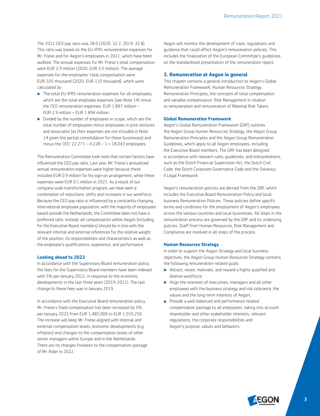The 2021 CEO pay ratio was 28.0 (2020: 32.2, 2019: 32.8). This ratio was based on the EU-IFRS remuneration expenses for Mr. Friese and for Aegon's employees in 2021, which have been audited. The annual expenses for Mr. Friese's total compensation were EUR 2.9 million (2020: EUR 3.5 million). The average expenses for the employees' total compensation were EUR 105 thousand (2020: EUR 110 thousand), which were calculated by:

- **The total EU-IFRS remuneration expenses for all employees,** which are the total employee expenses (see Note 14) minus the CEO remuneration expenses: EUR 1.897 million – EUR 2.9 million = EUR 1.894 million.
- **•** Divided by the number of employees in scope, which are the total number of employees minus employees in joint ventures and associates (as their expenses are not included in Note 14 given the partial consolidation for these businesses) and minus the CEO: 22,271 – 4,228 – 1 = 18,043 employees.

The Remuneration Committee took note that certain factors have influenced the CEO pay ratio. Last year, Mr. Friese's annualized annual remuneration expenses were higher because these included EUR 0.9 million for his sign-on arrangement, while these expenses were EUR 0.1 million in 2021. As a result of our company-wide transformation program, we have seen a combination of reductions, shifts and increases in our workforce. Because the CEO pay ratio is influenced by a constantly changing international employee population, with the majority of employees based outside the Netherlands, the Committee does not have a preferred ratio. Instead, all compensation within Aegon (including for the Executive Board members) should be in line with the relevant internal and external references for the relative weight of the position, its responsibilities and characteristics as well as the employee's qualifications, experience, and performance.

#### **Looking ahead to 2022**

In accordance with the Supervisory Board remuneration policy, the fees for the Supervisory Board members have been indexed with 5% per January 2022, in response to the economic developments in the last three years (2019-2021). The last change to these fees was in January 2019.

In accordance with the Executive Board remuneration policy, Mr. Friese's fixed compensation has been increased by 5% per January 2022 from EUR 1,485,000 to EUR 1,559,250. The increase will keep Mr. Friese aligned with internal and external compensation levels, economic developments (e.g. inflation) and changes to the compensation levels of other senior managers within Europe and in the Netherlands. There are no changes foreseen to the compensation package of Mr. Rider in 2022.

Aegon will monitor the development of rules, regulations and guidance that could affect Aegon's remuneration policies. This includes the finalization of the European Committee's guidelines on the standardized presentation of the remuneration report.

#### **2. Remuneration at Aegon in general**

This chapter contains a general introduction to Aegon's Global Remuneration Framework, Human Resources Strategy, Remuneration Principles, the concepts of total compensation and variable compensation, Risk Management in relation to remuneration and remuneration of Material Risk Takers.

#### **Global Remuneration Framework**

Aegon's Global Remuneration Framework (GRF) outlines the Aegon Group Human Resources Strategy, the Aegon Group Remuneration Principles and the Aegon Group Remuneration Guidelines, which apply to all Aegon employees, including the Executive Board members. The GRF has been designed in accordance with relevant rules, guidelines, and interpretations, such as the Dutch Financial Supervision Act, the Dutch Civil Code, the Dutch Corporate Governance Code and the Solvency II Legal Framework.

Aegon's remuneration policies are derived from the GRF, which includes the Executive Board Remuneration Policy and local business Remuneration Policies. These policies define specific terms and conditions for the employment of Aegon's employees across the various countries and local businesses. All steps in the remuneration process are governed by the GRF and its underlying policies. Staff from Human Resources, Risk Management and Compliance are involved in all steps of the process.

#### **Human Resources Strategy**

In order to support the Aegon Strategy and local business objectives, the Aegon Group Human Resources Strategy contains the following remuneration-related goals:

- Attract, retain, motivate, and reward a highly qualified and diverse workforce;
- Align the interests of executives, managers and all other employees with the business strategy and risk tolerance, the values and the long-term interests of Aegon;
- **•** Provide a well-balanced and performance-related compensation package to all employees, taking into account shareholder and other stakeholder interests, relevant regulations, the corporate responsibilities and Aegon's purpose, values and behaviors.

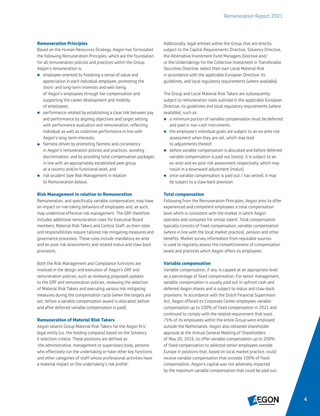#### **Remuneration Principles**

Based on the Human Resources Strategy, Aegon has formulated the following Remuneration Principles, which are the foundation for all remuneration policies and practices within the Group. Aegon's remuneration is:

- employee-oriented by fostering a sense of value and appreciation in each individual employee; promoting the short- and long-term interests and well-being of Aegon's employees through fair compensation and supporting the career development and mobility of employees;
- performance-related by establishing a clear link between pay and performance by aligning objectives and target setting with performance evaluation and remuneration, reflecting individual as well as collective performance in line with Aegon's long-term interests;
- **•** fairness-driven by promoting fairness and consistency in Aegon's remuneration policies and practices, avoiding discrimination, and by providing total compensation packages in line with an appropriately established peer group at a country and/or functional level; and
- **risk-prudent (see Risk Management in relation** to Remuneration below).

#### **Risk Management in relation to Remuneration**

Remuneration, and specifically variable compensation, may have an impact on risk-taking behaviors of employees and, as such, may undermine effective risk management. The GRF therefore includes additional remuneration rules for Executive Board members, Material Risk Takers and Control Staff, as their roles and responsibilities require tailored risk mitigating measures and governance processes. These rules include mandatory ex-ante and ex-post risk assessments and related malus and claw-back provisions.

Both the Risk Management and Compliance functions are involved in the design and execution of Aegon's GRF and remuneration policies, such as reviewing proposed updates to the GRF and remuneration policies, reviewing the selection of Material Risk Takers and executing various risk mitigating measures during the compensation cycle (when the targets are set, before a variable compensation award is allocated, before and after deferred variable compensation is paid).

#### **Remuneration of Material Risk Takers**

Aegon selects Group Material Risk Takers for the Aegon N.V. legal entity (i.e. the holding company) based on the Solvency II selection criteria. These positions are defined as 'the administrative, management or supervisory body, persons who effectively run the undertaking or have other key functions and other categories of staff whose professional activities have a material impact on the undertaking's risk profile'.

Additionally, legal entities within the Group that are directly subject to the Capital Requirements Directive, Solvency Directive, the Alternative Investment Fund Managers Directive and/ or the Undertakings for the Collective Investment in Transferable Securities Directive, select their own Local Material Risk in accordance with the applicable European Directive, its guidelines, and local regulatory requirements (where available).

The Group and Local Material Risk Takers are subsequently subject to remuneration rules outlined in the applicable European Directive, its guidelines and local regulatory requirements (where available), such as:

- a minimum portion of variable compensation must be deferred and paid in non-cash instruments.
- the employee's individual goals are subject to an ex-ante risk assessment when they are set, which may lead to adjustments thereof.
- before variable compensation is allocated and before deferred variable compensation is paid out (vests), it is subject to an ex-ante and ex-post risk assessment respectively, which may result in a downward adjustment (malus).
- **•** once variable compensation is paid out / has vested, it may be subject to a claw-back provision.

#### **Total compensation**

Following from the Remuneration Principles, Aegon aims to offer experienced and competent employees a total compensation level which is consistent with the market in which Aegon operates and competes for similar talent. Total compensation typically consists of fixed compensation, variable compensation (where in line with the local market practice), pension and other benefits. Market survey information from reputable sources is used to regularly assess the competitiveness of compensation levels and practices which Aegon offers its employees.

#### **Variable compensation**

Variable compensation, if any, is capped at an appropriate level as a percentage of fixed compensation. For senior management, variable compensation is usually paid out in upfront cash and deferred Aegon shares and is subject to malus and claw-back provisions. In accordance with the Dutch Financial Supervision Act, Aegon offered its Corporate Center employees variable compensation up to 100% of fixed compensation in 2021 and continued to comply with the related requirement that least 75% of its employees within the entire Group were employed outside the Netherlands. Aegon also obtained shareholder approval at the Annual General Meeting of Shareholders of May 20, 2016, to offer variable compensation up to 200% of fixed compensation to selected senior employees outside Europe in positions that, based on local market practice, could receive variable compensation that exceeds 100% of fixed compensation. Aegon's capital was not adversely impacted by the maximum variable compensation that could be paid out.

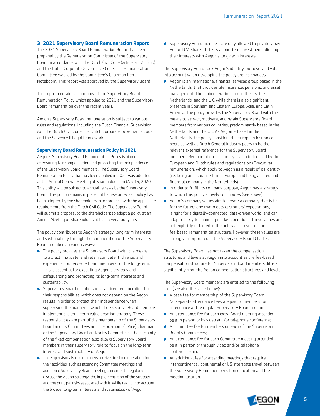#### **3. 2021 Supervisory Board Remuneration Report**

The 2021 Supervisory Board Remuneration Report has been prepared by the Remuneration Committee of the Supervisory Board in accordance with the Dutch Civil Code (article art 2:135b) and the Dutch Corporate Governance Code. The Remuneration Committee was led by the Committee's Chairman Ben J. Noteboom. This report was approved by the Supervisory Board.

This report contains a summary of the Supervisory Board Remuneration Policy which applied to 2021 and the Supervisory Board remuneration over the recent years.

Aegon's Supervisory Board remuneration is subject to various rules and regulations, including the Dutch Financial Supervision Act, the Dutch Civil Code, the Dutch Corporate Governance Code and the Solvency II Legal Framework.

#### **Supervisory Board Remuneration Policy in 2021**

Aegon's Supervisory Board Remuneration Policy is aimed at ensuring fair compensation and protecting the independence of the Supervisory Board members. The Supervisory Board Remuneration Policy that has been applied in 2021 was adopted at the Annual General Meeting of Shareholders on May 15, 2020. This policy will be subject to annual reviews by the Supervisory Board. The policy remains in place until a new or revised policy has been adopted by the shareholders in accordance with the applicable requirements from the Dutch Civil Code. The Supervisory Board will submit a proposal to the shareholders to adopt a policy at an Annual Meeting of Shareholders at least every four years.

The policy contributes to Aegon's strategy, long-term interests, and sustainability through the remuneration of the Supervisory Board members in various ways:

- **The policy provides the Supervisory Board with the means** to attract, motivate, and retain competent, diverse, and experienced Supervisory Board members for the long-term. This is essential for executing Aegon's strategy and safeguarding and promoting its long-term interests and sustainability.
- **Supervisory Board members receive fixed remuneration for** their responsibilities which does not depend on the Aegon results in order to protect their independence when supervising the manner in which the Executive Board members implement the long-term value creation strategy. These responsibilities are part of the membership of the Supervisory Board and its Committees and the position of (Vice) Chairman of the Supervisory Board and/or its Committees. The certainty of the fixed compensation also allows Supervisory Board members in their supervisory role to focus on the long-term interest and sustainability of Aegon.
- **The Supervisory Board members receive fixed remuneration for** their activities, such as attending Committee meetings and additional Supervisory Board meetings, in order to regularly discuss the Aegon strategy, the implementation of the strategy and the principal risks associated with it, while taking into account the broader long-term interests and sustainability of Aegon.

• Supervisory Board members are only allowed to privately own Aegon N.V. Shares if this is a long-term investment, aligning their interests with Aegon's long-term interests.

The Supervisory Board took Aegon's identity, purpose, and values into account when developing the policy and its changes:

- Aegon is an international financial services group based in the Netherlands, that provides life insurance, pensions, and asset management. The main operations are in the US, the Netherlands, and the UK, while there is also significant presence in Southern and Eastern Europe, Asia, and Latin America. The policy provides the Supervisory Board with the means to attract, motivate, and retain Supervisory Board members from various countries, predominantly based in the Netherlands and the US. As Aegon is based in the Netherlands, the policy considers the European Insurance peers as well as Dutch General Industry peers to be the relevant external reference for the Supervisory Board member's Remuneration. The policy is also influenced by the European and Dutch rules and regulations on (Executive) remuneration, which apply to Aegon as a result of its identity (i.e. being an Insurance firm in Europe and being a listed and financial company in the Netherlands).
- In order to fulfill its company purpose, Aegon has a strategy to which this policy actively contributes (see above).
- Aegon's company values aim to create a company that is fit for the future: one that meets customers' expectations, is right for a digitally-connected, data-driven world, and can adapt quickly to changing market conditions. These values are not explicitly reflected in the policy as a result of the fee-based remuneration structure. However, these values are strongly incorporated in the Supervisory Board Charter.

The Supervisory Board has not taken the compensation structures and levels at Aegon into account as the fee-based compensation structure for Supervisory Board members differs significantly from the Aegon compensation structures and levels.

The Supervisory Board members are entitled to the following fees (see also the table below):

- A base fee for membership of the Supervisory Board. No separate attendance fees are paid to members for attendance at the regular Supervisory Board meetings;
- An attendance fee for each extra Board meeting attended, be it in person or by video and/or telephone conference;
- A committee fee for members on each of the Supervisory Board's Committees;
- An attendance fee for each Committee meeting attended, be it in person or through video and/or telephone conference; and
- An additional fee for attending meetings that require intercontinental, continental or US interstate travel between the Supervisory Board member's home location and the meeting location.

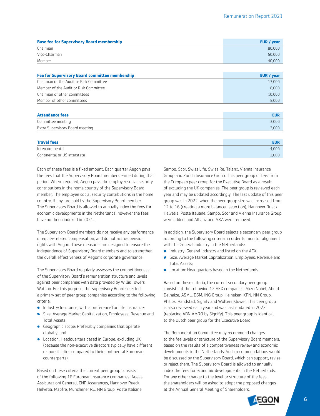| <b>Base fee for Supervisory Board membership</b> | EUR / year |
|--------------------------------------------------|------------|
| Chairman                                         | 80,000     |
| Vice-Chairman                                    | 50,000     |
| Member                                           | 40,000     |

| <b>Fee for Supervisory Board committee membership</b> | EUR / year |
|-------------------------------------------------------|------------|
| Chairman of the Audit or Risk Committee               | 13,000     |
| Member of the Audit or Risk Committee                 | 8.000      |
| Chairman of other committees                          | 10.000     |
| Member of other committees                            | 5.000      |

| Committee meeting               |       |
|---------------------------------|-------|
|                                 | 3,000 |
| Extra Supervisory Board meeting | 3,000 |

| <b>Travel fees</b>           | EUR   |
|------------------------------|-------|
| Intercontinental             | 4.000 |
| Continental or US interstate | 2,000 |

Each of these fees is a fixed amount. Each quarter Aegon pays the fees that the Supervisory Board members earned during that period. Where required, Aegon pays the employer social security contributions in the home country of the Supervisory Board member. The employee social security contributions in the home country, if any, are paid by the Supervisory Board member. The Supervisory Board is allowed to annually index the fees for economic developments in the Netherlands, however the fees have not been indexed in 2021.

The Supervisory Board members do not receive any performance or equity-related compensation, and do not accrue pension rights with Aegon. These measures are designed to ensure the independence of Supervisory Board members and to strengthen the overall effectiveness of Aegon's corporate governance.

The Supervisory Board regularly assesses the competitiveness of the Supervisory Board's remuneration structure and levels against peer companies with data provided by Willis Towers Watson. For this purpose, the Supervisory Board selected a primary set of peer group companies according to the following criteria:

- **Industry: Insurance, with a preference for Life Insurance;**
- **Size: Average Market Capitalization, Employees, Revenue and** Total Assets;
- **Geographic scope: Preferably companies that operate** globally; and
- **Location: Headquarters based in Europe, excluding UK** (because the non-executive directors typically have different responsibilities compared to their continental European counterparts).

Based on these criteria the current peer group consists of the following 16 European Insurance companies: Ageas, Assicurazioni Generali, CNP Assurances, Hannover Rueck, Helvetia, Mapfre, Münchener RE, NN Group, Poste Italiane,

Sampo, Scor, Swiss Life, Swiss Re, Talanx, Vienna Insurance Group and Zurich Insurance Group. This peer group differs from the European peer group for the Executive Board as a result of excluding the UK companies. The peer group is reviewed each year and may be updated accordingly. The last update of this peer group was in 2022, when the peer group size was increased from 12 to 16 (creating a more balanced selection), Hannover Rueck, Helvetia, Poste Italiane, Sampo, Scor and Vienna Insurance Group were added, and Allianz and AXA were removed.

In addition, the Supervisory Board selects a secondary peer group according to the following criteria, in order to monitor alignment with the General Industry in the Netherlands:

- **•** Industry: General Industry and listed on the AEX;
- **Size: Average Market Capitalization, Employees, Revenue and** Total Assets;
- **Location: Headquarters based in the Netherlands.**

Based on these criteria, the current secondary peer group consists of the following 12 AEX companies: Akzo Nobel, Ahold Delhaize, ASML, DSM, ING Group, Heineken, KPN, NN Group, Philips, Randstad, Signify and Wolters Kluwer. This peer group is also reviewed each year and was last updated in 2022 (replacing ABN AMRO by Signify). This peer group is identical to the Dutch peer group for the Executive Board.

The Remuneration Committee may recommend changes to the fee levels or structure of the Supervisory Board members, based on the results of a competitiveness review and economic developments in the Netherlands. Such recommendations would be discussed by the Supervisory Board, which can support, revise or reject them. The Supervisory Board is allowed to annually index the fees for economic developments in the Netherlands. For any other change to the level or structure of the fees, the shareholders will be asked to adopt the proposed changes at the Annual General Meeting of Shareholders.

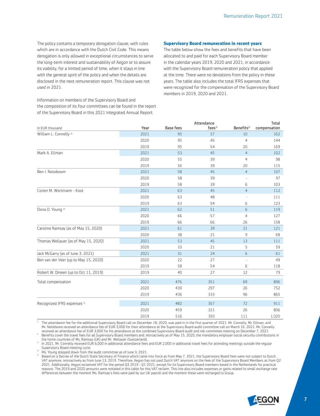The policy contains a temporary derogation clause, with rules which are in accordance with the Dutch Civil Code. This means derogation is only allowed in exceptional circumstances to serve the long-term interest and sustainability of Aegon or to assure its viability, for a limited period of time, when it stays in line with the general spirit of the policy and when the details are disclosed in the next remuneration report. This clause was not used in 2021.

Information on members of the Supervisory Board and the composition of its four committees can be found in the report of the Supervisory Board in this 2021 Integrated Annual Report.

#### **Supervisory Board remuneration in recent years**

The table below show the fees and benefits that have been allocated to and paid for each Supervisory Board member in the calendar years 2019, 2020 and 2021, in accordance with the Supervisory Board remuneration policy that applied at the time. There were no deviations from the policy in these years. The table also includes the total IFRS expenses that were recognized for the compensation of the Supervisory Board members in 2019, 2020 and 2021.

|                                        |      |                  | Attendance            |                        | Total        |
|----------------------------------------|------|------------------|-----------------------|------------------------|--------------|
| In EUR thousand                        | Year | <b>Base fees</b> | $f$ ees <sup>1)</sup> | Benefits <sup>2)</sup> | compensation |
| William L. Connelly <sup>3)</sup>      | 2021 | 95               | 57                    | 10                     | 162          |
|                                        | 2020 | 95               | 45                    | $\overline{4}$         | 144          |
|                                        | 2019 | 95               | 54                    | 20                     | 169          |
| Mark A. Ellman                         | 2021 | 53               | 45                    | $\overline{4}$         | 102          |
|                                        | 2020 | 55               | 39                    | $\overline{4}$         | 98           |
|                                        | 2019 | 56               | 39                    | 20                     | 115          |
| Ben J. Noteboom                        | 2021 | 58               | 45                    | $\overline{4}$         | 107          |
|                                        | 2020 | 58               | 39                    |                        | 97           |
|                                        | 2019 | 58               | 39                    | 6                      | 103          |
| Corien M. Wortmann - Kool              | 2021 | 63               | 45                    | $\overline{4}$         | 112          |
|                                        | 2020 | 63               | 48                    |                        | 111          |
|                                        | 2019 | 63               | 54                    | 6                      | 123          |
| Dona D. Young 4)                       | 2021 | 62               | 51                    | 6                      | 119          |
|                                        | 2020 | 66               | 57                    | $\overline{4}$         | 127          |
|                                        | 2019 | 66               | 66                    | 26                     | 158          |
| Caroline Ramsay (as of May 15, 2020)   | 2021 | 61               | 39                    | 21                     | 121          |
|                                        | 2020 | 38               | 21                    | 9                      | 68           |
| Thomas Wellauer (as of May 15, 2020)   | 2021 | 53               | 45                    | 13                     | 111          |
|                                        | 2020 | 33               | 21                    | 5                      | 59           |
| Jack McGarry (as of June 3, 2021)      | 2021 | 31               | 24                    | 6                      | 61           |
| Ben van der Veer (up to May 15, 2020)  | 2020 | 22               | 27                    |                        | 49           |
|                                        | 2019 | 58               | 54                    | 6                      | 118          |
| Robert W. Dineen (up to Oct 11, 2019)  | 2019 | 40               | 27                    | 12                     | 79           |
| Total compensation                     | 2021 | 476              | 351                   | 69                     | 896          |
|                                        | 2020 | 430              | 297                   | 26                     | 752          |
|                                        | 2019 | 436              | 333                   | 96                     | 865          |
| Recognized IFRS expenses <sup>5)</sup> | 2021 | 482              | 357                   | 72                     | 911          |
|                                        | 2020 | 459              | 321                   | 26                     | 806          |
|                                        | 2019 | 516              | 393                   | 111                    | 1,020        |

The attendance fee for the additional Supervisory Board call on December 18, 2020, was paid in in the first quarter of 2021. Mr. Connelly, Mr. Ellman, and Mr. Noteboom received an attendance fee of EUR 3,000 for their attendance at the Supervisory Board audit committee call on March 16, 2021. Mr. Connelly received an attendance fee of EUR 3,000 for his attendance at the combined Supervisory Board audit and risk committee meeting on December 7, 2021.

Benefits cover the travel fees for all Supervisory Board members and, retroactively as of May 15, 2020, the mandatory employer social security contributions in the home countries of Ms. Ramsay (UK) and Mr. Wellauer (Switze

<sup>3</sup> In 2021, Mr. Connelly received EUR 6,000 in additional attendance fees and EUR 2,000 in additional travel fees for attending meetings outside the regular Supervisory Board meeting cycle.

Ms. Young stepped down from the audit committee as of June 3, 2021.

5 Based on a Decree of the Dutch State Secretary of Finance which came into force as from May 7, 2021, the Supervisory Board fees were not subject to Dutch VAT anymore, retroactively as from June 13, 2019. Therefore, Aegon has not paid Dutch VAT anymore on the fees of the Supervisory Board Members as from Q2 2021. Additionally, Aegon reclaimed VAT for the period Q3 2019 - Q1 2021, except for its Supervisory Board members based in the Netherlands for practical reasons. The 2019 and 2020 amounts were restated in this table for this VAT reclaim. This line also includes expenses or gains related to small exchange rate differences between the moment Ms. Ramsay's fees were paid by our UK payroll and the moment these were recharged to Group.

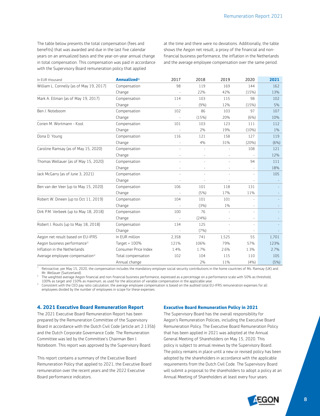The table below presents the total compensation (fees and benefits) that was awarded and due in the last five calendar years on an annualized basis and the year-on-year annual change in total compensation. This compensation was paid in accordance with the Supervisory Board remuneration policy that applied

at the time and there were no deviations. Additionally, the table shows the Aegon net result, a proxy of the financial and nonfinancial business performance, the inflation in the Netherlands and the average employee compensation over the same period.

| In EUR thousand                             | Annualized <sup>1)</sup> | 2017  | 2018    | 2019  | 2020                     | 2021  |
|---------------------------------------------|--------------------------|-------|---------|-------|--------------------------|-------|
| William L. Connelly (as of May 19, 2017)    | Compensation             | 98    | 119     | 169   | 144                      | 162   |
|                                             | Change                   |       | 22%     | 42%   | (15%)                    | 13%   |
| Mark A. Ellman (as of May 19, 2017)         | Compensation             | 114   | 103     | 115   | 98                       | 102   |
|                                             | Change                   |       | (9%)    | 12%   | (15%)                    | 5%    |
| Ben J. Noteboom                             | Compensation             | 102   | 86      | 103   | 97                       | 107   |
|                                             | Change                   |       | (15%)   | 20%   | (6%)                     | 10%   |
| Corien M. Wortmann - Kool                   | Compensation             | 101   | 103     | 123   | 111                      | 112   |
|                                             | Change                   |       | 2%      | 19%   | $(10\%)$                 | $1\%$ |
| Dona D. Young                               | Compensation             | 116   | 121     | 158   | 127                      | 119   |
|                                             | Change                   |       | 4%      | 31%   | (20%)                    | (6%)  |
| Caroline Ramsay (as of May 15, 2020)        | Compensation             |       |         |       | 108                      | 121   |
|                                             | Change                   |       |         |       |                          | 12%   |
| Thomas Wellauer (as of May 15, 2020)        | Compensation             | ÷,    |         |       | 94                       | 111   |
|                                             | Change                   |       |         |       |                          | 18%   |
| Jack McGarry (as of June 3, 2021)           | Compensation             |       |         | ÷.    | $\overline{\phantom{a}}$ | 105   |
|                                             | Change                   |       |         |       |                          |       |
| Ben van der Veer (up to May 15, 2020)       | Compensation             | 106   | 101     | 118   | 131                      |       |
|                                             | Change                   |       | (5%)    | 17%   | 11%                      |       |
| Robert W. Dineen (up to Oct 11, 2019)       | Compensation             | 104   | 101     | 101   |                          |       |
|                                             | Change                   |       | (3%)    | $1\%$ |                          |       |
| Dirk P.M. Verbeek (up to May 18, 2018)      | Compensation             | 100   | 76      |       | $\bar{a}$                |       |
|                                             | Change                   |       | (24%)   |       | $\overline{\phantom{a}}$ |       |
| Robert J. Routs (up to May 18, 2018)        | Compensation             | 134   | 125     | ä,    | $\overline{\phantom{a}}$ |       |
|                                             | Change                   |       | $(7\%)$ |       |                          |       |
| Aegon net result based on EU-IFRS           | In EUR million           | 2,358 | 741     | 1,525 | 55                       | 1,701 |
| Aegon business performance <sup>2)</sup>    | Target = $100\%$         | 121%  | 106%    | 79%   | 57%                      | 123%  |
| Inflation in the Netherlands                | Consumer Price Index     | 1.4%  | 1.7%    | 2.6%  | 1.3%                     | 2.7%  |
| Average employee compensation <sup>3)</sup> | Total compensation       | 102   | 104     | 115   | 110                      | 105   |
|                                             | Annual change            |       | 2%      | 11%   | (4%)                     | (5%)  |

<sup>1</sup> Retroactive, per May 15, 2020, the compensation includes the mandatory employer social security contributions in the home countries of Ms. Ramsay (UK) and<br>Mr. Wellauer (Switzerland).

The weighted average Aegon financial and non-financial business performance, expressed as a percentage on a performance scale with 50% as threshold, 100% as target and 150% as maximum, as used for the allocation of variable compensation in the applicable year.

<sup>3</sup> Consistent with the CEO pay ratio calculation, the average employee compensation is based on the audited total EU-IFRS remuneration expenses for all employees divided by the number of employees in scope for these expenses.

#### **4. 2021 Executive Board Remuneration Report**

The 2021 Executive Board Remuneration Report has been prepared by the Remuneration Committee of the Supervisory Board in accordance with the Dutch Civil Code (article art 2:135b) and the Dutch Corporate Governance Code. The Remuneration Committee was led by the Committee's Chairman Ben J. Noteboom. This report was approved by the Supervisory Board.

This report contains a summary of the Executive Board Remuneration Policy that applied to 2021, the Executive Board remuneration over the recent years and the 2022 Executive Board performance indicators.

#### **Executive Board Remuneration Policy in 2021**

The Supervisory Board has the overall responsibility for Aegon's Remuneration Policies, including the Executive Board Remuneration Policy. The Executive Board Remuneration Policy that has been applied in 2021 was adopted at the Annual General Meeting of Shareholders on May 15, 2020. This policy is subject to annual reviews by the Supervisory Board. The policy remains in place until a new or revised policy has been adopted by the shareholders in accordance with the applicable requirements from the Dutch Civil Code. The Supervisory Board will submit a proposal to the shareholders to adopt a policy at an Annual Meeting of Shareholders at least every four years.

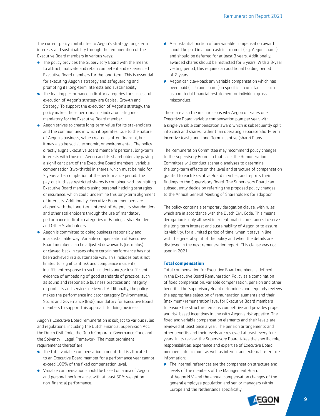The current policy contributes to Aegon's strategy, long-term interests and sustainability through the remuneration of the Executive Board members in various ways:

- **The policy provides the Supervisory Board with the means** to attract, motivate and retain competent and experienced Executive Board members for the long-term. This is essential for executing Aegon's strategy and safeguarding and promoting its long-term interests and sustainability.
- **The leading performance indicator categories for successful** execution of Aegon's strategy are Capital, Growth and Strategy. To support the execution of Aegon's strategy, the policy makes these performance indicator categories mandatory for the Executive Board member.
- Aegon strives to create long-term value for its stakeholders and the communities in which it operates. Due to the nature of Aegon's business, value created is often financial, but it may also be social, economic, or environmental. The policy directly aligns Executive Board member's personal long-term interests with those of Aegon and its shareholders by paying a significant part of the Executive Board members' variable compensation (two-thirds) in shares, which must be held for 5 years after completion of the performance period. The pay-out in these restricted shares is combined with prohibiting Executive Board members using personal hedging strategies or insurance, which could undermine this long-term alignment of interests. Additionally, Executive Board members are aligned with the long-term interest of Aegon, its shareholders and other stakeholders through the use of mandatory performance indicator categories of Earnings, Shareholders and Other Stakeholders.
- A egon is committed to doing business responsibly and in a sustainable way. Variable compensation of Executive Board members can be adjusted downwards (i.e. malus) or clawed-back in cases where certain performance has not been achieved in a sustainable way. This includes but is not limited to: significant risk and compliance incidents, insufficient response to such incidents and/or insufficient evidence of embedding of good standards of practice, such as sound and responsible business practices and integrity of products and services delivered. Additionally, the policy makes the performance indicator category Environmental, Social and Governance (ESG), mandatory for Executive Board members to support this approach to doing business.

Aegon's Executive Board remuneration is subject to various rules and regulations, including the Dutch Financial Supervision Act, the Dutch Civil Code, the Dutch Corporate Governance Code and the Solvency II Legal Framework. The most prominent requirements thereof are:

- The total variable compensation amount that is allocated to an Executive Board member for a performance year cannot exceed 100% of the fixed compensation level.
- Variable compensation should be based on a mix of Aegon and personal performance, with at least 50% weight on non-financial performance.
- A substantial portion of any variable compensation award should be paid in a non-cash instrument (e.g. Aegon shares) and should be deferred for at least 3 years. Additionally, awarded shares should be restricted for 5 years. With a 3-year vesting period, this requires an additional holding period of 2-years.
- Aegon can claw-back any variable compensation which has been paid (cash and shares) in specific circumstances such as a material financial restatement or individual gross misconduct.

These are also the main reasons why Aegon operates one Executive Board variable compensation plan per year, with a single variable compensation award which is subsequently split into cash and shares, rather than operating separate Short-Term Incentive (cash) and Long-Term Incentive (share) Plans.

The Remuneration Committee may recommend policy changes to the Supervisory Board. In that case, the Remuneration Committee will conduct scenario analyses to determine the long-term effects on the level and structure of compensation granted to each Executive Board member, and reports their findings to the Supervisory Board. The Supervisory Board can subsequently decide on referring the proposed policy changes to the Annual General Meeting of Shareholders for adoption.

The policy contains a temporary derogation clause, with rules which are in accordance with the Dutch Civil Code. This means derogation is only allowed in exceptional circumstances to serve the long-term interest and sustainability of Aegon or to assure its viability, for a limited period of time, when it stays in line with the general spirit of the policy and when the details are disclosed in the next remuneration report. This clause was not used in 2021.

#### **Total compensation**

Total compensation for Executive Board members is defined in the Executive Board Remuneration Policy as a combination of fixed compensation, variable compensation, pension and other benefits. The Supervisory Board determines and regularly reviews the appropriate selection of remuneration elements and their (maximum) remuneration level for Executive Board members to ensure the structure remains competitive and provides proper and risk-based incentives in line with Aegon's risk appetite. The fixed and variable compensation elements and their levels are reviewed at least once a year. The pension arrangements and other benefits and their levels are reviewed at least every four years. In its review, the Supervisory Board takes the specific role, responsibilities, experience and expertise of Executive Board members into account as well as internal and external reference information:

**•** The internal references are the compensation structure and levels of the members of the Management Board of Aegon N.V. and the annual compensation changes of the general employee population and senior managers within Europe and the Netherlands specifically.

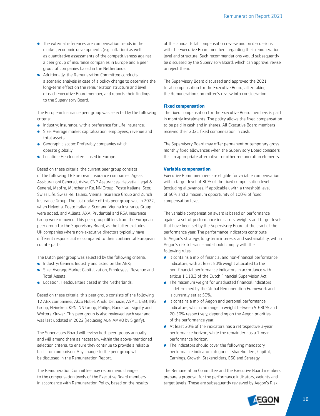- **•** The external references are compensation trends in the market, economic developments (e.g. inflation) as well as quantitative assessments of the competitiveness against a peer group of insurance companies in Europe and a peer group of companies based in the Netherlands.
- Additionally, the Remuneration Committee conducts a scenario analysis in case of a policy change to determine the long-term effect on the remuneration structure and level of each Executive Board member, and reports their findings to the Supervisory Board.

The European Insurance peer group was selected by the following criteria:

- **Industry: Insurance, with a preference for Life Insurance;**
- **Size: Average market capitalization, employees, revenue and** total assets;
- **Geographic scope: Preferably companies which** operate globally;
- **Location: Headquarters based in Europe.**

Based on these criteria, the current peer group consists of the following 16 European Insurance companies: Ageas, Assicurazioni Generali, Aviva, CNP Assurances, Helvetia, Legal & General, Mapfre, Münchener Re, NN Group, Poste Italiane, Scor, Swiss Life, Swiss Re, Talanx, Vienna Insurance Group and Zurich Insurance Group. The last update of this peer group was in 2022, when Helvetia, Poste Italiane, Scor and Vienna Insurance Group were added, and Allianz, AXA, Prudential and RSA Insurance Group were removed. This peer group differs from the European peer group for the Supervisory Board, as the latter excludes UK companies where non-executive directors typically have different responsibilities compared to their continental European counterparts.

The Dutch peer group was selected by the following criteria:

- **Industry: General Industry and listed on the AEX;**
- **Size: Average Market Capitalization, Employees, Revenue and** Total Assets;
- **Location: Headquarters based in the Netherlands.**

Based on these criteria, this peer group consists of the following 12 AEX companies:, Akzo Nobel, Ahold Delhaize, ASML, DSM, ING Group, Heineken, KPN, NN Group, Philips, Randstad, Signify and Wolters Kluwer. This peer group is also reviewed each year and was last updated in 2022 (replacing ABN AMRO by Signify).

The Supervisory Board will review both peer groups annually and will amend them as necessary, within the above-mentioned selection criteria, to ensure they continue to provide a reliable basis for comparison. Any change to the peer group will be disclosed in the Remuneration Report.

The Remuneration Committee may recommend changes to the compensation levels of the Executive Board members in accordance with Remuneration Policy, based on the results

of this annual total compensation review and on discussions with the Executive Board members regarding their remuneration level and structure. Such recommendations would subsequently be discussed by the Supervisory Board, which can approve, revise or reject them.

The Supervisory Board discussed and approved the 2021 total compensation for the Executive Board, after taking the Remuneration Committee's review into consideration.

#### **Fixed compensation**

The fixed compensation for the Executive Board members is paid in monthly instalments. The policy allows the fixed compensation to be paid in cash and in shares. All Executive Board members received their 2021 fixed compensation in cash.

The Supervisory Board may offer permanent or temporary gross monthly fixed allowances when the Supervisory Board considers this an appropriate alternative for other remuneration elements.

#### **Variable compensation**

Executive Board members are eligible for variable compensation with a target level of 80% of the fixed compensation level (excluding allowances, if applicable), with a threshold level of 50% and a maximum opportunity of 100% of fixed compensation level.

The variable compensation award is based on performance against a set of performance indicators, weights and target levels that have been set by the Supervisory Board at the start of the performance year. The performance indicators contribute to Aegon's strategy, long-term interests and sustainability, within Aegon's risk tolerance and should comply with the following rules:

- It contains a mix of financial and non-financial performance indicators, with at least 50% weight allocated to the non-financial performance indicators in accordance with article 1:118.3 of the Dutch Financial Supervision Act;
- The maximum weight for unadjusted financial indicators is determined by the Global Remuneration Framework and is currently set at 50%.
- It contains a mix of Aegon and personal performance indicators, which can range in weight between 50-80% and 20-50% respectively, depending on the Aegon priorities of the performance year.
- At least 20% of the indicators has a retrospective 3-year performance horizon, while the remainder has a 1-year performance horizon;
- The indicators should cover the following mandatory performance indicator categories: Shareholders, Capital, Earnings, Growth, Stakeholders, ESG and Strategy.

The Remuneration Committee and the Executive Board members prepare a proposal for the performance indicators, weights and target levels. These are subsequently reviewed by Aegon's Risk

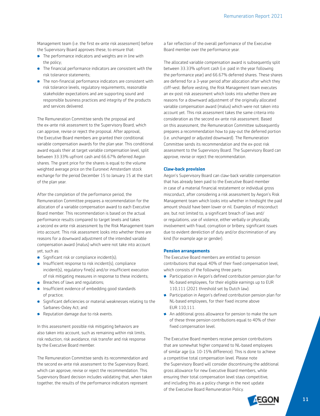Management team (i.e. the first ex-ante risk assessment) before the Supervisory Board approves these, to ensure that:

- **•** The performance indicators and weights are in line with the policy;
- The financial performance indicators are consistent with the risk tolerance statements;
- **•** The non-financial performance indicators are consistent with risk tolerance levels, regulatory requirements, reasonable stakeholder expectations and are supporting sound and responsible business practices and integrity of the products and services delivered.

The Remuneration Committee sends the proposal and the ex-ante risk assessment to the Supervisory Board, which can approve, revise or reject the proposal. After approval, the Executive Board members are granted their conditional variable compensation awards for the plan year. This conditional award equals their at target variable compensation level, split between 33.33% upfront cash and 66.67% deferred Aegon shares. The grant price for the shares is equal to the volume weighted average price on the Euronext Amsterdam stock exchange for the period December 15 to January 15 at the start of the plan year.

After the completion of the performance period, the Remuneration Committee prepares a recommendation for the allocation of a variable compensation award to each Executive Board member. This recommendation is based on the actual performance results compared to target levels and takes a second ex-ante risk assessment by the Risk Management team into account. This risk assessment looks into whether there are reasons for a downward adjustment of the intended variable compensation award (malus) which were not take into account yet, such as:

- Significant risk or compliance incident(s);
- **Insufficient response to risk incident(s), compliance** incident(s), regulatory fine(s) and/or insufficient execution of risk mitigating measures in response to these incidents;
- **•** Breaches of laws and regulations;
- **Insufficient evidence of embedding good standards** of practice;
- Significant deficiencies or material weaknesses relating to the Sarbanes-Oxley Act; and
- **Reputation damage due to risk events.**

In this assessment possible risk mitigating behaviors are also taken into account, such as remaining within risk limits, risk reduction, risk avoidance, risk transfer and risk response by the Executive Board member.

The Remuneration Committee sends its recommendation and the second ex-ante risk assessment to the Supervisory Board, which can approve, revise or reject the recommendation. This Supervisory Board decision includes validating that, when taken together, the results of the performance indicators represent

a fair reflection of the overall performance of the Executive Board member over the performance year.

The allocated variable compensation award is subsequently split between 33.33% upfront cash (i.e. paid in the year following the performance year) and 66.67% deferred shares. These shares are deferred for a 3-year period after allocation after which they cliff-vest. Before vesting, the Risk Management team executes an ex-post risk assessment which looks into whether there are reasons for a downward adjustment of the originally allocated variable compensation award (malus) which were not taken into account yet. This risk assessment takes the same criteria into consideration as the second ex-ante risk assessment. Based on this assessment, the Remuneration Committee subsequently prepares a recommendation how to pay-out the deferred portion (i.e. unchanged or adjusted downward). The Remuneration Committee sends its recommendation and the ex-post risk assessment to the Supervisory Board. The Supervisory Board can approve, revise or reject the recommendation.

#### **Claw-back provision**

Aegon's Supervisory Board can claw-back variable compensation that has already been paid to the Executive Board member in case of a material financial restatement or individual gross misconduct, after considering a risk assessment by Aegon's Risk Management team which looks into whether in hindsight the paid amount should have been lower or nil. Examples of misconduct are, but not limited to, a significant breach of laws and/ or regulations, use of violence, either verbally or physically, involvement with fraud, corruption or bribery, significant issues due to evident dereliction of duty and/or discrimination of any kind (for example age or gender).

#### **Pension arrangements**

The Executive Board members are entitled to pension contributions that equal 40% of their fixed compensation level, which consists of the following three parts:

- Participation in Aegon's defined contribution pension plan for NL-based employees, for their eligible earnings up to EUR 110,111 (2021 threshold set by Dutch law).
- Participation in Aegon's defined contribution pension plan for NL-based employees, for their fixed income above EUR 110,111.
- An additional gross allowance for pension to make the sum of these three pension contributions equal to 40% of their fixed compensation level.

The Executive Board members receive pension contributions that are somewhat higher compared to NL-based employees of similar age (ca. 10-15% difference). This is done to achieve a competitive total compensation level. Please note the Supervisory Board will consider discontinuing the additional gross allowance for new Executive Board members, while ensuring their total compensation level stays competitive, and including this as a policy change in the next update of the Executive Board Remuneration Policy.

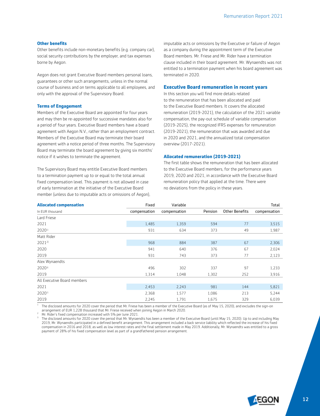#### **Other benefits**

Other benefits include non-monetary benefits (e.g. company car), social security contributions by the employer, and tax expenses borne by Aegon.

Aegon does not grant Executive Board members personal loans, guarantees or other such arrangements, unless in the normal course of business and on terms applicable to all employees, and only with the approval of the Supervisory Board.

#### **Terms of Engagement**

Members of the Executive Board are appointed for four years and may then be re-appointed for successive mandates also for a period of four years. Executive Board members have a board agreement with Aegon N.V., rather than an employment contract. Members of the Executive Board may terminate their board agreement with a notice period of three months. The Supervisory Board may terminate the board agreement by giving six months' notice if it wishes to terminate the agreement.

The Supervisory Board may entitle Executive Board members to a termination payment up to or equal to the total annual fixed compensation level. This payment is not allowed in case of early termination at the initiative of the Executive Board member (unless due to imputable acts or omissions of Aegon), imputable acts or omissions by the Executive or failure of Aegon as a company during the appointment term of the Executive Board members. Mr. Friese and Mr. Rider have a termination clause included in their board agreement. Mr. Wynaendts was not entitled to a termination payment when his board agreement was terminated in 2020.

#### **Executive Board remuneration in recent years**

In this section you will find more details related to the remuneration that has been allocated and paid to the Executive Board members. It covers the allocated remuneration (2019-2021), the calculation of the 2021 variable compensation, the pay-out schedule of variable compensation (2019-2025), the recognized IFRS expenses for remuneration (2019-2021), the remuneration that was awarded and due in 2020 and 2021, and the annualized total compensation overview (2017-2021).

#### **Allocated remuneration (2019-2021)**

The first table shows the remuneration that has been allocated to the Executive Board members, for the performance years 2019, 2020 and 2021, in accordance with the Executive Board remuneration policy that applied at the time. There were no deviations from the policy in these years.

| <b>Allocated compensation</b> | Fixed        | Variable     |         |                | Total        |
|-------------------------------|--------------|--------------|---------|----------------|--------------|
| In EUR thousand               | compensation | compensation | Pension | Other Benefits | compensation |
| Lard Friese                   |              |              |         |                |              |
| 2021                          | 1,485        | 1,359        | 594     | 77             | 3,515        |
| 20201)                        | 931          | 634          | 373     | 49             | 1,987        |
| Matt Rider                    |              |              |         |                |              |
| $2021^{2}$                    | 968          | 884          | 387     | 67             | 2,306        |
| 2020                          | 941          | 640          | 376     | 67             | 2,024        |
| 2019                          | 931          | 743          | 373     | 77             | 2,123        |
| Alex Wynaendts                |              |              |         |                |              |
| 2020 <sup>3)</sup>            | 496          | 302          | 337     | 97             | 1,233        |
| 2019                          | 1,314        | 1,048        | 1,302   | 252            | 3,916        |
| All Executive Board members   |              |              |         |                |              |
| 2021                          | 2,453        | 2,243        | 981     | 144            | 5,821        |
| 20201)                        | 2,368        | 1,577        | 1,086   | 213            | 5,244        |
| 2019                          | 2,245        | 1,791        | 1,675   | 329            | 6,039        |

<sup>1</sup> The disclosed amounts for 2020 cover the period that Mr. Friese has been a member of the Executive Board (as of May 15, 2020), and excludes the sign-on arrangement of EUR 1,228 thousand that Mr. Friese received when joining Aegon in March 2020.

<sup>2</sup> Mr. Rider's fixed compensation increased with 5% per June 2021.

The disclosed amounts for 2020 cover the period that Mr. Wynaendts has been a member of the Executive Board (until May 15, 2020). Up to and including May 2019, Mr. Wynaendts participated in a defined benefit arrangement. This arrangement included a back service liability which reflected the increase of his fixed compensation in 2016 and 2018, as well as low interest rates and the final settlement made in May 2019. Additionally, Mr. Wynaendts was entitled to a gross payment of 28% of his fixed compensation level as part of a grandfathered pension arrangement.

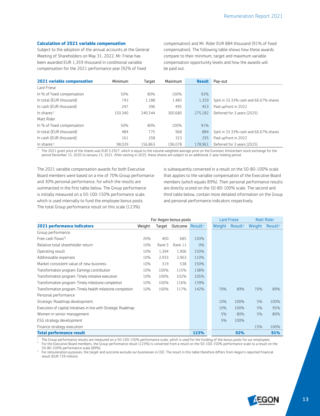#### **Calculation of 2021 variable compensation**

Subject to the adoption of the annual accounts at the General Meeting of Shareholders on May 31, 2022, Mr. Friese has been awarded EUR 1,359 thousand in conditional variable compensation for the 2021 performance year (92% of fixed

compensation) and Mr. Rider EUR 884 thousand (91% of fixed compensation). The following table shows how these awards compare to their minimum, target and maximum variable compensation opportunity levels and how the awards will be paid out.

| 2021 variable compensation | Minimum | Target  | Maximum | <b>Result</b> | Pay-out                                |
|----------------------------|---------|---------|---------|---------------|----------------------------------------|
| Lard Friese                |         |         |         |               |                                        |
| In % of fixed compensation | 50%     | 80%     | 100%    | 92%           |                                        |
| In total (EUR thousand)    | 743     | 1.188   | 1,485   | 1.359         | Split in 33.33% cash and 66.67% shares |
| In cash (EUR thousand)     | 247     | 396     | 495     | 453           | Paid upfront in 2022                   |
| In shares <sup>1)</sup>    | 150.340 | 240.544 | 300.680 | 275.182       | Deferred for 3 years (2025)            |
| Matt Rider                 |         |         |         |               |                                        |
| In % of fixed compensation | 50%     | 80%     | 100%    | 91%           |                                        |
| In total (EUR thousand)    | 484     | 775     | 968     | 884           | Split in 33.33% cash and 66.67% shares |
| In cash (EUR thousand)     | 161     | 258     | 323     | 295           | Paid upfront in 2022                   |
| In shares <sup>1)</sup>    | 98.039  | 156,863 | 196.078 | 178,961       | Deferred for 3 years (2025)            |

 $\frac{1}{1}$  The 2021 grant price of the shares was EUR 3.2927, which is equal to the volume weighted average price on the Euronext Amsterdam stock exchange for the period December 15, 2020 to January 15, 2021. After vesting in 2025, these shares are subject to an additional 2-year holding period.

The 2021 variable compensation awards for both Executive Board members were based on a mix of 70% Group performance and 30% personal performance, for which the results are summarized in the first table below. The Group performance is initially measured on a 50-100-150% performance scale, which is used internally to fund the employee bonus pools. The total Group performance result on this scale (123%)

is subsequently converted in a result on the 50-80-100% scale that applies to the variable compensation of the Executive Board members (which equals 89%). Their personal performance results are directly scored on the 50-80-100% scale. The second and third table below, contain more detailed information on the Group and personal performance indicators respectively.

|                                                                 |        |        | For Aegon bonus pools        |       |  |     | <b>Lard Friese</b>          |        | <b>Matt Rider</b>    |
|-----------------------------------------------------------------|--------|--------|------------------------------|-------|--|-----|-----------------------------|--------|----------------------|
| <b>2021 performance indicators</b>                              | Weight | Target | Outcome Result <sup>1)</sup> |       |  |     | Weight Result <sup>2)</sup> | Weight | Result <sup>2)</sup> |
| Group performance                                               |        |        |                              |       |  |     |                             |        |                      |
| Free cash flows <sup>3)</sup>                                   | 20%    | 400    | 685                          | 150%  |  |     |                             |        |                      |
| Relative total shareholder return                               | 10%    | Rank 5 | Rank 11                      | $0\%$ |  |     |                             |        |                      |
| Operating result                                                | 10%    | 1,394  | 1,906                        | 150%  |  |     |                             |        |                      |
| Addressable expenses                                            | 10%    | 2,933  | 2,903                        | 110%  |  |     |                             |        |                      |
| Market consistent value of new business                         | 10%    | 319    | 538                          | 150%  |  |     |                             |        |                      |
| Transformation program: Earnings contribution                   | 10%    | 100%   | 115%                         | 138%  |  |     |                             |        |                      |
| Transformation program: Timely initiative execution             | 10%    | 100%   | 102%                         | 105%  |  |     |                             |        |                      |
| Transformation program: Timely milestone completion             | 10%    | 100%   | 116%                         | 139%  |  |     |                             |        |                      |
| Transformation program: Timely health milestone completion      | 10%    | 100%   | 117%                         | 142%  |  | 70% | 89%                         | 70%    | 89%                  |
| Personal performance                                            |        |        |                              |       |  |     |                             |        |                      |
| Strategic Roadmap development                                   |        |        |                              |       |  | 10% | 100%                        | 5%     | 100%                 |
| Execution of capital initiatives in line with Strategic Roadmap |        |        |                              |       |  | 10% | 100%                        | 5%     | 95%                  |
| Women in senior management                                      |        |        |                              |       |  | 5%  | 80%                         | 5%     | 80%                  |
| ESG strategy development                                        |        |        |                              |       |  | 5%  | 100%                        |        |                      |
| Finance strategy execution                                      |        |        |                              |       |  |     |                             | 15%    | 100%                 |
| <b>Total performance result</b>                                 |        |        |                              | 123%  |  |     | 92%                         |        | 91%                  |

<sup>1</sup> The Group performance results are measured on a 50-100-150% performance scale, which is used for the funding of the bonus pools for our employees. <sup>2</sup> For the Executive Board members, the Group performance result (123%) is converted from a result on the 50-100-150% performance scale to a result on the 50-80-100% performance scale (89%).

<sup>3</sup> For remuneration purposes, the target and outcome exclude our businesses in CEE. The result in this table therefore differs from Aegon's reported financial result (EUR 729 million).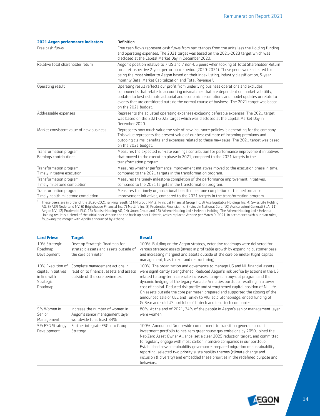| <b>2021 Aegon performance indicators</b>                      | Definition                                                                                                                                                                                                                                                                                                                                                                                            |
|---------------------------------------------------------------|-------------------------------------------------------------------------------------------------------------------------------------------------------------------------------------------------------------------------------------------------------------------------------------------------------------------------------------------------------------------------------------------------------|
| Free cash flows                                               | Free cash flows represent cash flows from remittances from the units less the Holding funding<br>and operating expenses. The 2021 target was based on the 2021-2023 target which was<br>disclosed at the Capital Market Day in December 2020.                                                                                                                                                         |
| Relative total shareholder return                             | Aegon's position relative to 7 US and 7 non-US peers when looking at Total Shareholder Return<br>for a retrospective 2-year performance period (2020-2021). These peers were selected for<br>being the most similar to Aegon based on their index listing, industry classification, 5-year<br>monthly Beta, Market Capitalization and Total Revenue <sup>1)</sup> .                                   |
| Operating result                                              | Operating result reflects our profit from underlying business operations and excludes<br>components that relate to accounting mismatches that are dependent on market volatility,<br>updates to best estimate actuarial and economic assumptions and model updates or relate to<br>events that are considered outside the normal course of business. The 2021 target was based<br>on the 2021 budget. |
| Addressable expenses                                          | Represents the adjusted operating expenses excluding deferable expenses. The 2021 target<br>was based on the 2021-2023 target which was disclosed at the Capital Market Day in<br>December 2020.                                                                                                                                                                                                      |
| Market consistent value of new business                       | Represents how much value the sale of new insurance policies is generating for the company.<br>This value represents the present value of our best estimate of incoming premiums and<br>outgoing claims, benefits and expenses related to these new sales. The 2021 target was based<br>on the 2021 budget.                                                                                           |
| Transformation program:<br>Earnings contributions             | Measures the expected run-rate earnings contribution for performance improvement initiatives<br>that moved to the execution phase in 2021, compared to the 2021 targets in the<br>transformation program.                                                                                                                                                                                             |
| Transformation program:<br>Timely initiative execution        | Measures whether performance improvement initiatives moved to the execution phase in time,<br>compared to the 2021 targets in the transformation program.                                                                                                                                                                                                                                             |
| Transformation program:<br>Timely milestone completion        | Measures the timely milestone completion of the performance improvement initiatives,<br>compared to the 2021 targets in the transformation program.                                                                                                                                                                                                                                                   |
| Transformation program:<br>Timely health milestone completion | Measures the timely organizational health milestone completion of the performance<br>improvement initiatives, compared to the 2021 targets in the transformation program.                                                                                                                                                                                                                             |

<sup>1</sup> These peers are in order of the 2020-2021 ranking result: 1) NN Group NV, 2) Principal Financial Group Inc, 3) Axa Equitable Holdings Inc, 4) Swiss Life Holding AG, 5) ASR Nederland NV, 6) Brighthouse Financial Inc, 7) MetLife Inc, 8) Prudential Financial Inc, 9) Lincoln National Corp, 10) Assicurazioni Generali SpA, 11) Aegon NV, 12) Prudential PLC, 13) Baloise Holding AG, 14) Unum Group and 15) Athene Holding Ltd / Helvetia Holding. The Athene Holding Ltd / Helvetia Holding result is a blend of the initial peer Athene and the back-up peer Helvetia, which replaced Athene per March 9, 2021, in accordance with our plan rules, following the merger with Apollo announced by Athene.

| <b>Lard Friese</b>                                                              | <b>Target</b>                                                                                               | <b>Result</b>                                                                                                                                                                                                                                                                                                                                                                                                                                                                                                                                                                                                                                                   |
|---------------------------------------------------------------------------------|-------------------------------------------------------------------------------------------------------------|-----------------------------------------------------------------------------------------------------------------------------------------------------------------------------------------------------------------------------------------------------------------------------------------------------------------------------------------------------------------------------------------------------------------------------------------------------------------------------------------------------------------------------------------------------------------------------------------------------------------------------------------------------------------|
| 10% Strategic<br>Roadmap<br>Development                                         | Develop Strategic Roadmap for<br>strategic assets and assets outside of<br>the core perimeter.              | 100%. Building on the Aegon strategy, extensive roadmaps were delivered for<br>various strategic assets (invest in profitable growth by expanding customer base<br>and increasing margins) and assets outside of the core perimeter (tight capital<br>management, bias to exit and restructuring).                                                                                                                                                                                                                                                                                                                                                              |
| 10% Execution of<br>capital initiatives<br>in line with<br>Strategic<br>Roadmap | Complete management actions in<br>relation to financial assets and assets<br>outside of the core perimeter. | 100%. The organization and governance to manage US and NL financial assets<br>were significantly strengthened. Reduced Aegon's risk profile by actions in the US<br>related to long-term care rate increases, lump-sum buy-out program and the<br>dynamic hedging of the legacy Variable Annuities portfolio, resulting in a lower<br>cost of capital. Reduced risk profile and strengthened capital position of NL Life.<br>On assets outside the core perimeter, prepared and supported the closing of the<br>announced sale of CEE and Turkey to VIG, sold Stonebridge, ended funding of<br>GoBear and sold US portfolio of fintech and insurtech companies. |
| 5% Women in<br>Senior<br>Management                                             | Increase the number of women in<br>Aegon's senior management layer<br>worldwide to at least 34%.            | 80%. At the end of 2021, 34% of the people in Aegon's senior management layer<br>were women.                                                                                                                                                                                                                                                                                                                                                                                                                                                                                                                                                                    |
| 5% ESG Strategy<br>Development                                                  | Further integrate ESG into Group<br>Strategy.                                                               | 100%. Announced Group-wide commitment to transition general account<br>investment portfolio to net-zero greenhouse gas emissions by 2050, joined the<br>Net-Zero Asset Owner Alliance, set a clear 2025 reduction target, and committed<br>to regularly engage with most carbon intensive companies in our portfolio.<br>Established new sustainability governance, prepared migration of sustainability<br>reporting, selected two priority sustainability themes (climate change and<br>inclusion & diversity) and embedded these priorities in the redefined purpose and<br>behaviors.                                                                       |

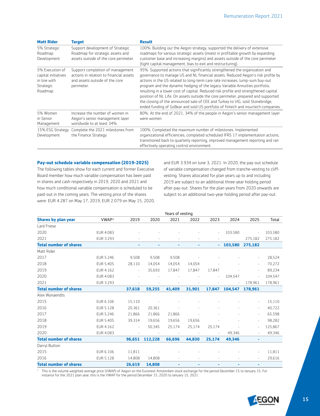| <b>Matt Rider</b>                                                              | <b>Target</b>                                                                                                               | <b>Result</b>                                                                                                                                                                                                                                                                                                                                                                                                                                                                                                                                                                                                                                                                    |
|--------------------------------------------------------------------------------|-----------------------------------------------------------------------------------------------------------------------------|----------------------------------------------------------------------------------------------------------------------------------------------------------------------------------------------------------------------------------------------------------------------------------------------------------------------------------------------------------------------------------------------------------------------------------------------------------------------------------------------------------------------------------------------------------------------------------------------------------------------------------------------------------------------------------|
| 5% Strategic<br>Roadmap<br>Development                                         | Support development of Strategic<br>Roadmap for strategic assets and<br>assets outside of the core perimeter.               | 100%. Building our the Aegon strategy, supported the delivery of extensive<br>roadmaps for various strategic assets (invest in profitable growth by expanding<br>customer base and increasing margins) and assets outside of the core perimeter<br>(tight capital management, bias to exit and restructuring).                                                                                                                                                                                                                                                                                                                                                                   |
| 5% Execution of<br>capital initiatives<br>in line with<br>Strategic<br>Roadmap | Support completion of management<br>actions in relation to financial assets<br>and assets outside of the core<br>perimeter. | 95%. Supported actions that significantly strengthened the organization and<br>governance to manage US and NL financial assets. Reduced Aegon's risk profile by<br>actions in the US related to long-term care rate increases, lump-sum buy-out<br>program and the dynamic hedging of the legacy Variable Annuities portfolio,<br>resulting in a lower cost of capital. Reduced risk profile and strengthened capital<br>position of NL Life. On assets outside the core perimeter, prepared and supported<br>the closing of the announced sale of CEE and Turkey to VIG, sold Stonebridge,<br>ended funding of GoBear and sold US portfolio of fintech and insurtech companies. |
| 5% Women<br>in Senior<br>Management                                            | Increase the number of women in<br>Aegon's senior management layer<br>worldwide to at least 34%.                            | 80%. At the end of 2021, 34% of the people in Aegon's senior management layer<br>were women.                                                                                                                                                                                                                                                                                                                                                                                                                                                                                                                                                                                     |
| 15% ESG Strategy<br>Development                                                | Complete the 2021 milestones from<br>the Finance Strategy.                                                                  | 100%. Completed the maximum number of milestones. Implemented<br>organizational efficiencies, completed scheduled IFRS 17 implementation actions,<br>transitioned back to quarterly reporting, improved management reporting and ran<br>effectively operating control environment.                                                                                                                                                                                                                                                                                                                                                                                               |

#### **Pay-out schedule variable compensation (2019-2025)**

The following tables show for each current and former Executive Board member how much variable compensation has been paid in shares and cash respectively in 2019, 2020 and 2021 and how much conditional variable compensation is scheduled to be paid-out in the coming years. The vesting price of the shares were: EUR 4.287 on May 17, 2019, EUR 2.079 on May 15, 2020, and EUR 3.934 on June 3, 2021. In 2020, the pay-out schedule of variable compensation changed from tranche-vesting to cliffvesting. Shares allocated for plan years up to and including 2019 are subject to an additional three-year holding period after pay-out. Shares for the plan years from 2020 onwards are subject to an additional two-year holding period after pay-out.

|                               |                    |          |                      | Years of vesting |                |                          |         |                          |         |
|-------------------------------|--------------------|----------|----------------------|------------------|----------------|--------------------------|---------|--------------------------|---------|
| <b>Shares by plan year</b>    | VWAP <sup>1)</sup> | 2019     | 2020                 | 2021             | 2022           | 2023                     | 2024    | 2025                     | Total   |
| Lard Friese                   |                    |          |                      |                  |                |                          |         |                          |         |
| 2020                          | EUR 4.083          |          |                      |                  |                | $\overline{\phantom{a}}$ | 103,580 | $\overline{\phantom{a}}$ | 103,580 |
| 2021                          | EUR 3.293          |          |                      | $\sim$           | $\overline{a}$ |                          |         | 275,182                  | 275,182 |
| <b>Total number of shares</b> |                    |          |                      |                  | ۰              | ÷.                       | 103,580 | 275.182                  |         |
| Matt Rider                    |                    |          |                      |                  |                |                          |         |                          |         |
| 2017                          | EUR 5.246          | 9,508    | 9,508                | 9,508            |                |                          |         | $\sim$                   | 28,524  |
| 2018                          | EUR 5.405          | 28,110   | 14,054               | 14,054           | 14,054         |                          |         | $\sim$                   | 70,272  |
| 2019                          | EUR 4.162          | $\equiv$ | 35,693               | 17,847           | 17,847         | 17,847                   |         |                          | 89,234  |
| 2020                          | EUR 4.083          |          |                      |                  |                | $\overline{\phantom{a}}$ | 104,547 | ÷,                       | 104,547 |
| 2021                          | EUR 3.293          |          |                      |                  |                | $\overline{\phantom{a}}$ | $\sim$  | 178,961                  | 178,961 |
| <b>Total number of shares</b> |                    | 37,618   | 59,255               | 41,409           | 31,901         | 17,847                   | 104,547 | 178,961                  |         |
| Alex Wynaendts                |                    |          |                      |                  |                |                          |         |                          |         |
| 2015                          | EUR 6.106          | 15,110   |                      |                  |                |                          |         | $\overline{\phantom{a}}$ | 15,110  |
| 2016                          | EUR 5.128          | 20,361   | 20,361               |                  |                |                          |         | $\overline{\phantom{a}}$ | 40,722  |
| 2017                          | EUR 5.246          | 21,866   | 21,866               | 21,866           |                |                          |         | $\overline{\phantom{a}}$ | 65,598  |
| 2018                          | EUR 5.405          | 39,314   | 19,656               | 19,656           | 19,656         |                          |         | $\sim$                   | 98,282  |
| 2019                          | EUR 4.162          | $\equiv$ | 50,345               | 25,174           | 25,174         | 25,174                   |         | ÷,                       | 125,867 |
| 2020                          | EUR 4.083          |          | $\ddot{\phantom{1}}$ | $\sim$           | $\sim$         | $\omega$                 | 49,346  | ÷.                       | 49,346  |
| <b>Total number of shares</b> |                    | 96,651   | 112,228              | 66,696           | 44,830         | 25,174                   | 49,346  | ٠                        |         |
| Darryl Button                 |                    |          |                      |                  |                |                          |         |                          |         |
| 2015                          | EUR 6.106          | 11,811   |                      |                  |                |                          |         |                          | 11,811  |
| 2016                          | EUR 5.128          | 14,808   | 14,808               |                  |                |                          |         | $\bar{\phantom{a}}$      | 29,616  |
| <b>Total number of shares</b> |                    | 26,619   | 14,808               | ÷                | ÷              | ÷                        | ۰       | ٠                        |         |

 $1$  This is the volume weighted average price (VWAP) of Aegon on the Euronext Amsterdam stock exchange for the period December 15 to January 15. For instance for the 2021 plan year, this is the VWAP for the period December 15, 2020 to January 15, 2021.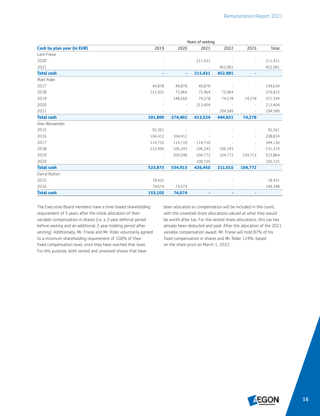|                                   | Years of vesting         |                          |                          |            |                          |         |  |  |
|-----------------------------------|--------------------------|--------------------------|--------------------------|------------|--------------------------|---------|--|--|
| <b>Cash by plan year (in EUR)</b> | 2019                     | 2020                     | 2021                     | 2022       | 2023                     | Total   |  |  |
| Lard Friese                       |                          |                          |                          |            |                          |         |  |  |
| 2020                              |                          | ÷.                       | 211,431                  |            | $\overline{\phantom{a}}$ | 211,431 |  |  |
| 2021                              | $\sim$                   | $\sim$                   | $\overline{\phantom{a}}$ | 452,981    | $\overline{\phantom{a}}$ | 452,981 |  |  |
| <b>Total cash</b>                 | ۰                        | ٠                        | 211,431                  | 452,981    | ٠                        |         |  |  |
| Matt Rider                        |                          |                          |                          |            |                          |         |  |  |
| 2017                              | 49,878                   | 49,878                   | 49,878                   |            | $\overline{\phantom{a}}$ | 149,634 |  |  |
| 2018                              | 151,931                  | 75,964                   | 75,964                   | 75,964     | $\overline{\phantom{a}}$ | 379,823 |  |  |
| 2019                              | $\overline{\phantom{a}}$ | 148,560                  | 74,278                   | 74,278     | 74,278                   | 371,394 |  |  |
| 2020                              | $\sim$                   | $\overline{\phantom{a}}$ | 213,404                  | $\sim$     | $\overline{\phantom{a}}$ | 213,404 |  |  |
| 2021                              |                          |                          | $\sim$                   | 294,589    | $\overline{\phantom{a}}$ | 294,589 |  |  |
| <b>Total cash</b>                 | 201,809                  | 274,402                  | 413,524                  | 444,831    | 74,278                   |         |  |  |
| Alex Wynaendts                    |                          |                          |                          |            |                          |         |  |  |
| 2015                              | 92,261                   |                          |                          |            | $\overline{\phantom{a}}$ | 92,261  |  |  |
| 2016                              | 104,412                  | 104,412                  |                          |            | $\overline{\phantom{a}}$ | 208,824 |  |  |
| 2017                              | 114,710                  | 114,710                  | 114,710                  |            | $\overline{\phantom{a}}$ | 344,130 |  |  |
| 2018                              | 212,490                  | 106,243                  | 106,243                  | 106,243    | ÷,                       | 531,219 |  |  |
| 2019                              | $\overline{\phantom{a}}$ | 209,548                  | 104,772                  | 104,772    | 104,772                  | 523,864 |  |  |
| 2020                              | $\overline{\phantom{a}}$ | $\sim$                   | 100,725                  | $\sim$ $-$ | $\overline{\phantom{a}}$ | 100,725 |  |  |
| <b>Total cash</b>                 | 523,873                  | 534,913                  | 426,450                  | 211,015    | 104,772                  |         |  |  |
| Darryl Button                     |                          |                          |                          |            |                          |         |  |  |
| 2015                              | 78,431                   | $\sim$                   |                          |            | $\overline{\phantom{a}}$ | 78,431  |  |  |
| 2016                              | 74,674                   | 74,674                   | $\sim$                   | $\sim$     | $\sim$                   | 149,348 |  |  |
| <b>Total cash</b>                 | 153,105                  | 74,674                   | ۰                        | ۰          | ۰                        |         |  |  |

The Executive Board members have a time-based shareholding requirement of 5 years after the initial allocation of their variable compensation in shares (i.e. a 3-year deferral period before vesting and an additional 2-year holding period after vesting). Additionally, Mr. Friese and Mr. Rider voluntarily agreed to a minimum shareholding requirement of 100% of their fixed compensation level, once they have reached that level. For this purpose, both vested and unvested shares that have

been allocated as compensation will be included in the count, with the unvested share allocations valued at what they would be worth after tax. For the vested share allocations, this tax has already been deducted and paid. After the allocation of the 2021 variable compensation award, Mr. Friese will hold 87% of his fixed compensation in shares and Mr. Rider 124%, based on the share price on March 1, 2022.

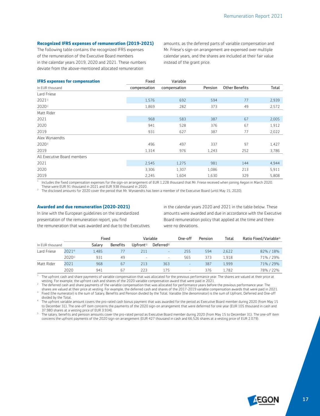#### **Recognized IFRS expenses of remuneration (2019-2021)**

The following table contains the recognized IFRS expenses of the remuneration of the Executive Board members in the calendar years 2019, 2020 and 2021. These numbers deviate from the above-mentioned allocated remuneration

amounts, as the deferred parts of variable compensation and Mr. Friese's sign-on arrangement are expensed over multiple calendar years, and the shares are included at their fair value instead of the grant price.

| <b>IFRS expenses for compensation</b> | Fixed        | Variable     |         |                       |       |
|---------------------------------------|--------------|--------------|---------|-----------------------|-------|
| In EUR thousand                       | compensation | compensation | Pension | <b>Other Benefits</b> | Total |
| Lard Friese                           |              |              |         |                       |       |
| 20211)                                | 1,576        | 692          | 594     | 77                    | 2,939 |
| 20201)                                | 1,869        | 282          | 373     | 49                    | 2,572 |
| Matt Rider                            |              |              |         |                       |       |
| 2021                                  | 968          | 583          | 387     | 67                    | 2,005 |
| 2020                                  | 941          | 528          | 376     | 67                    | 1,912 |
| 2019                                  | 931          | 627          | 387     | 77                    | 2,022 |
| Alex Wynaendts                        |              |              |         |                       |       |
| $2020^{2}$                            | 496          | 497          | 337     | 97                    | 1,427 |
| 2019                                  | 1,314        | 976          | 1,243   | 252                   | 3,786 |
| All Executive Board members           |              |              |         |                       |       |
| 2021                                  | 2,545        | 1,275        | 981     | 144                   | 4,944 |
| 2020                                  | 3,306        | 1,307        | 1,086   | 213                   | 5.911 |
| 2019                                  | 2,245        | 1,604        | 1,630   | 329                   | 5,808 |

 $1$  Includes the fixed compensation expenses for the sign-on arrangement of EUR 1,228 thousand that Mr. Friese received when joining Aegon in March 2020. These were EUR 91 thousand in 2021 and EUR 938 thousand in 2020.

2 The disclosed amounts for 2020 cover the period that Mr. Wynaendts has been a member of the Executive Board (until May 15, 2020).

#### **Awarded and due remuneration (2020-2021)**

In line with the European guidelines on the standardized presentation of the remuneration report, you find the remuneration that was awarded and due to the Executives in the calendar years 2020 and 2021 in the table below. These amounts were awarded and due in accordance with the Executive Board remuneration policy that applied at the time and there were no deviations.

|                 |        | Fixed  |                 |                          | Variable                 | One-off                  | Pension | Total | Ratio Fixed/Variable <sup>3)</sup> |
|-----------------|--------|--------|-----------------|--------------------------|--------------------------|--------------------------|---------|-------|------------------------------------|
| In EUR thousand |        | Salarv | <b>Benefits</b> | $U$ pfront <sup>1)</sup> | Deferred <sup>2)</sup>   |                          |         |       |                                    |
| Lard Friese     | 20214) | 1,485  |                 | 211                      | $\overline{\phantom{a}}$ | 255                      | 594     | 2,622 | 82% / 18%                          |
|                 | 20205  | 931    | 49              | $\sim$                   | $\sim$                   | 565                      | 373     | 1.918 | 71% / 29%                          |
| Matt Rider      | 2021   | 968    | 67              | 213                      | 363                      | $\overline{\phantom{a}}$ | 387     | 1.999 | 71% / 29%                          |
|                 | 2020   | 941    | 67              | 223                      | 175                      |                          | 376     | 1.782 | 78% / 22%                          |

 $1$  The upfront cash and share payments of variable compensation that was allocated for the previous performance year. The shares are valued at their price at vesting. For example, the upfront cash and shares of the 2020 variable compensation award that were paid in 2021.

<sup>2</sup> The deferred cash and share payments of the variable compensation that was allocated for performance years before the previous performance year. The shares are valued at their price at vesting. For example, the deferred cash and shares of the 2017-2019 variable compensation awards that were paid in 2021.

<sup>3</sup> Fixed (the numerator) is the sum of Salary, Benefits and Pension divided by the Total. Variable (the denominator) is the sum of Upfront, Deferred and One-off divided by the Total.

<sup>4</sup> The upfront variable amount covers the pro-rated cash bonus payment that was awarded for the period as Executive Board member during 2020 (from May 15 to December 31). The one-off item concerns the payments of the 2020 sign-on arrangement that were deferrred for one year (EUR 105 thousand in cash and 37,980 shares at a vesting price of EUR 3.934).

 $5$  The salary, benefits and pension amounts cover the pro-rated period as Executive Board member during 2020 (from May 15 to December 31). The one-off item concerns the upfront payments of the 2020 sign-on arrangement (EUR 427 thousand in cash and 66,526 shares at a vesting price of EUR 2.079).

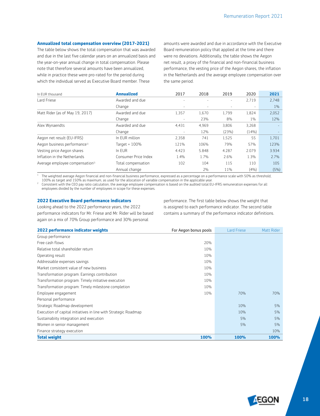#### **Annualized total compensation overview (2017-2021)**

The table below shows the total compensation that was awarded and due in the last five calendar years on an annualized basis and the year-on-year annual change in total compensation. Please note that therefore several amounts have been annualized, while in practice these were pro-rated for the period during which the individual served as Executive Board member. These

amounts were awarded and due in accordance with the Executive Board remuneration policy that applied at the time and there were no deviations. Additionally, the table shows the Aegon net result, a proxy of the financial and non-financial business performance, the vesting price of the Aegon shares, the inflation in the Netherlands and the average employee compensation over the same period.

| In EUR thousand                             | <b>Annualized</b>    | 2017                     | 2018  | 2019  | 2020   | 2021  |
|---------------------------------------------|----------------------|--------------------------|-------|-------|--------|-------|
| Lard Friese                                 | Awarded and due      |                          |       |       | 2,719  | 2,748 |
|                                             | Change               | $\overline{\phantom{a}}$ |       | ٠     | $\sim$ | $1\%$ |
| Matt Rider (as of May 19, 2017)             | Awarded and due      | 1,357                    | 1,670 | 1,799 | 1,824  | 2,052 |
|                                             | Change               |                          | 23%   | 8%    | $1\%$  | 12%   |
| Alex Wynaendts                              | Awarded and due      | 4,431                    | 4,969 | 3,806 | 3,268  |       |
|                                             | Change               |                          | 12%   | (23%) | (14%)  |       |
| Aegon net result (EU-IFRS)                  | In EUR million       | 2,358                    | 741   | 1,525 | 55     | 1,701 |
| Aegon business performance <sup>1)</sup>    | Target = $100%$      | 121%                     | 106%  | 79%   | 57%    | 123%  |
| Vesting price Aegon shares                  | In EUR               | 4.423                    | 5.848 | 4.287 | 2.079  | 3.934 |
| Inflation in the Netherlands                | Consumer Price Index | 1.4%                     | 1.7%  | 2.6%  | 1.3%   | 2.7%  |
| Average employee compensation <sup>2)</sup> | Total compensation   | 102                      | 104   | 115   | 110    | 105   |
|                                             | Annual change        |                          | 2%    | 11%   | (4%)   | (5%)  |

 $1$  The weighted average Aegon financial and non-financial business performance, expressed as a percentage on a performance scale with 50% as threshold, 100% as target and 150% as maximum, as used for the allocation of variable compensation in the applicable year.

<sup>2</sup> Consistent with the CEO pay ratio calculation, the average employee compensation is based on the audited total EU-IFRS remuneration expenses for all employees divided by the number of employees in scope for these expenses.

#### **2022 Executive Board performance indicators**

Looking ahead to the 2022 performance years, the 2022 performance indicators for Mr. Friese and Mr. Rider will be based again on a mix of 70% Group performance and 30% personal

performance. The first table below shows the weight that is assigned to each performance indicator. The second table contains a summary of the performance indicator definitions.

| 2022 performance indicator weights                              | For Aegon bonus pools | <b>Lard Friese</b> | Matt Rider  |
|-----------------------------------------------------------------|-----------------------|--------------------|-------------|
| Group performance                                               |                       |                    |             |
| Free cash flows                                                 | 20%                   |                    |             |
| Relative total shareholder return                               | 10%                   |                    |             |
| Operating result                                                | 10%                   |                    |             |
| Addressable expenses savings                                    | 10%                   |                    |             |
| Market consistent value of new business                         | 10%                   |                    |             |
| Transformation program: Earnings contribution                   | 10%                   |                    |             |
| Transformation program: Timely initiative execution             | 10%                   |                    |             |
| Transformation program: Timely milestone completion             | 10%                   |                    |             |
| Employee engagement                                             | 10%                   | 70%                | 70%         |
| Personal performance                                            |                       |                    |             |
| Strategic Roadmap development                                   |                       | 10%                | 5%          |
| Execution of capital initiatives in line with Strategic Roadmap |                       | 10%                | 5%          |
| Sustainabiity integration and execution                         |                       | 5%                 | 5%          |
| Women in senior management                                      |                       | 5%                 | 5%          |
| Finance strategy execution                                      |                       |                    | 10%         |
| <b>Total weight</b>                                             | 100%                  | <b>100%</b>        | <b>100%</b> |